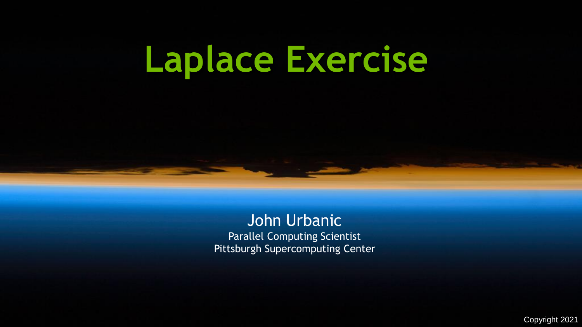# **Laplace Exercise**

John Urbanic Parallel Computing Scientist Pittsburgh Supercomputing Center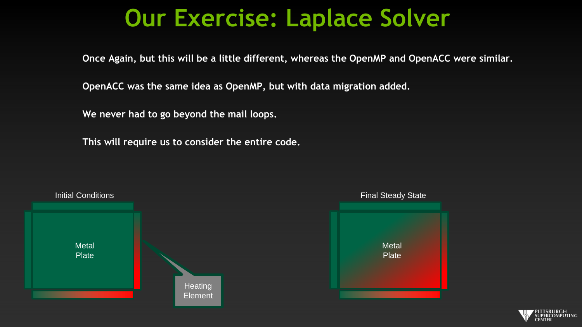#### **Our Exercise: Laplace Solver**

**Once Again, but this will be a little different, whereas the OpenMP and OpenACC were similar.**

**OpenACC was the same idea as OpenMP, but with data migration added.**

**We never had to go beyond the mail loops.**

**This will require us to consider the entire code.**



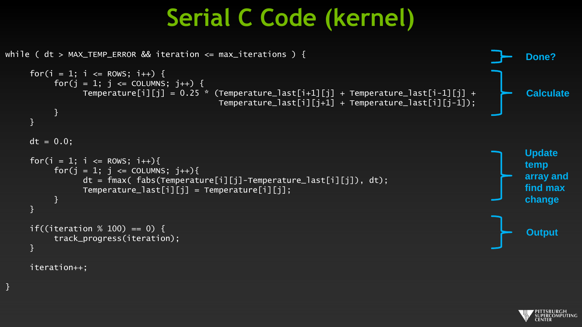### **Serial C Code (kernel)**



iteration++;

}

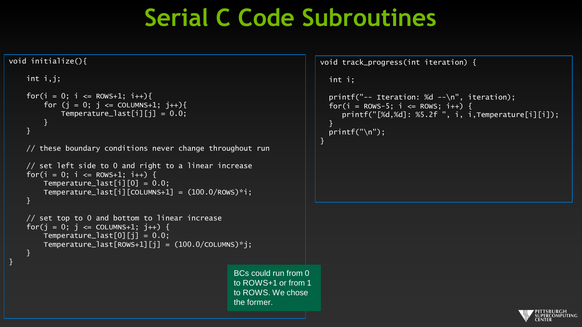#### **Serial C Code Subroutines**

to ROWS. We chose

the former.

}

#### void initialize(){

}

```
int i,j;
for(i = 0; i <= ROWS+1; i++){
    for (i = 0; i \leq 0 COLUMNS+1; i^{++}){
        Temperature_last[i][j] = 0.0;
    }
}
// these boundary conditions never change throughout run
// set left side to 0 and right to a linear increase
for(i = 0; i <= ROWS+1; i++) {
    Temperature_last[i][0] = 0.0;
    Temperature\_last[i][COLUMNS+1] = (100.0/Rows)*i;}
// set top to 0 and bottom to linear increase
for(j = 0; j \le 0COLUMNS+1; j_{++}) {
    Temperature\_last[0][i] = 0.0;Temperature_last[ROWS+1][j] = (100.0/C0LUMNS)*j;}
                                                  BCs could run from 0 
                                                  to ROWS+1 or from 1
```
void track\_progress(int iteration) { int i; printf("-- Iteration: %d --\n", iteration); for(i =  $ROWS-5$ ; i <=  $ROWS$ ; i++) {  $printf("[\%d,\%d]: %5.2f", i, i, Temperature[i][i]);$ }  $print(f("n")$ ;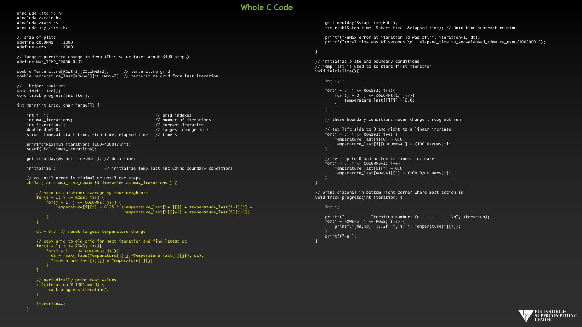#### **Whole C Code**

#include <stdlib.h> #include <stdio.h> #include <math.h> #include <sys/time.h>

// size of plate #define COLUMNS 1000 #define ROWS 1000

// largest permitted change in temp (This value takes about 3400 steps) #define MAX\_TEMP\_ERROR 0.01

double Temperature[ROWS+2][COLUMNS+2]; // temperature grid double Temperature\_last[ROWS+2][COLUMNS+2]; // temperature grid from last iteration

// helper routines void initialize(); void track\_progress(int iter);

int main(int argc, char \*argv[]) {

int i, j; // grid indexes<br>int max\_iterations; // www.indexes.com// number of ite int max\_iterations;  $\frac{1}{2}$  int max\_iterations;  $\frac{1}{2}$  int iterations int iterations int iterations interations interations interations interations interations interations interations interations in terms in terms in int iteration=1;  $\frac{1}{2}$  dividends the current iteration double dt=100;  $\frac{1}{2}$  largest change in t struct timeval start\_time, stop\_time, elapsed\_time; // timers

printf("Maximum iterations [100-4000]?\n"); scanf("%d", &max\_iterations);

gettimeofday(&start\_time,NULL); // Unix timer

initialize();  $\frac{1}{2}$  initialize Temp\_last including boundary conditions

```
// do until error is minimal or until max steps
while ( dt > MAX_TEMP_ERROR && iteration <= max_iterations ) {
```

```
// main calculation: average my four neighbors
for(i = 1; i \le ROWS; i++) {
    for(j = 1; j \leq CCLUMNS; j++)Temperature[j][j] = 0.25 * (Temperature_last[i+1][j] + Temperature_last[i-1][j] +Temperature_last[i][j+1] + Temperature_last[i][j-1]);
    }
```

```
}
```

```
dt = 0.0; // reset largest temperature change
// copy grid to old grid for next iteration and find latest dt
for(i = 1; i <= ROWS; i++){
    for(j = 1; j \leq CCLUMNS; j++){
      dt = fmax( fabs(Temperature[i][j]-Temperature_last[i][j]), dt);
      Temperature_last[i][j] = Temperature[i][j];
    }
```

```
// periodically print test values
if((iteration % 100) == 0) {
    track_progress(iteration);
}
```
iteration++;

gettimeofday(&stop\_time,NULL); timersub(&stop\_time, &start\_time, &elapsed\_time); // Unix time subtract routine

printf("\nMax error at iteration %d was %f\n", iteration-1, dt); printf("Total time was %f seconds.\n", elapsed time.tv sec+elapsed time.tv usec/1000000.0);

// initialize plate and boundary conditions  $\frac{1}{2}$  Temp last is used to to start first iteration void initialize(){

```
int i,j;
for(i = 0; i <= ROWS+1; i++){
    for (i = 0; j \le 0 COLUMNS+1; j++){
         Temperature_{{\text{last}}[i][i]} = 0.0;
```
// these boundary conditions never change throughout run

```
// set left side to 0 and right to a linear increase
for(i = 0; i <= ROWS+1; i++) {
   Temperature_last[i][0] = 0.0;
    Temperature_last[i][COLUMNS+11 = (100.0/ROWS)*i;
```

```
// set top to 0 and bottom to linear increase
for(i = 0; i \le 0 l UnNS+1; i++) {
    Temperature_last[0][j] = 0.0;
    Temperature_last[ROWS+1][j] = (100.0/COLUMNS)*j;
}
```
}

// print diagonal in bottom right corner where most action is void track\_progress(int iteration) {

int i;

```
printf("---------- Iteration number: %d ------------\n", iteration):
\text{for}(i = \text{Rows-5}: i \leq \text{Rows}: i++)printf("Nd,Nd]: %5.2f", i, j, Temperature[i][i]);}
printf("\n");
```
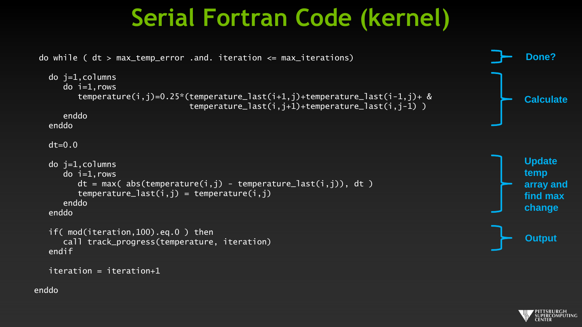### **Serial Fortran Code (kernel)**

```
do while ( dt > max_temp_error .and. iteration <= max_iterations)
  do j=1,columns
    do i=1,rows
        temperature(i,j)=0.25*(temperature_last(i+1,j)+temperature_last(i-1,j)+ &
                               temperature_last(i,j+1)+temperature_last(i,j-1))
    enddo
  enddo
 dt=0.0do j=1,columns
    do i=1, rows
        dt = max( abs(temperature(i,j) - temperature_list(i,j)), dt)temperature_last(i,j) = temperature(i,j)enddo
  enddo
  if( mod(iteration,100).eq.0 ) then
    call track_progress(temperature, iteration)
  endif
  iteration = iteration+1
                                                                                                     Calculate
                                                                                                     Update 
                                                                                                     temp
                                                                                                     array and
                                                                                                     find max
                                                                                                     change
                                                                                                     Output
                                                                                                     Done?
```


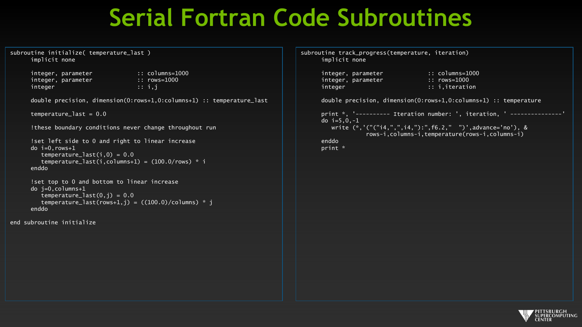#### **Serial Fortran Code Subroutines**

```
subroutine initialize( temperature_last )
     implicit none
```
integer, parameter :: columns=1000<br>integer, parameter :: rows=1000 integer, parameter integer :: i,j

double precision, dimension(0:rows+1,0:columns+1) :: temperature\_last

 $temperature_last = 0.0$ 

```
!these boundary conditions never change throughout run
```
!set left side to 0 and right to linear increase do  $i=0$ , rows+1  $temperature_{{\text{last}}}(i,0) = 0.0$ temperature\_last(i,columns+1) =  $(100.0$ /rows) \* i enddo

```
!set top to 0 and bottom to linear increase
do i=0.columns+1temperature_{{\text{last}}}(0,j) = 0.0temperature last(rows+1,j) = ((100.0)/\text{columns}) * j
enddo
```
end subroutine initialize

subroutine track\_progress(temperature, iteration) implicit none

```
integer, parameter :: rows=1000
integer :: i,iteration
```
integer, parameter :: columns=1000

double precision, dimension(0:rows+1,0:columns+1) :: temperature

```
print *, '---------- Iteration number: ', iteration, ' ---------------'
do i=5,0,-1
  write (*,'("("i4,",",i4,"):",f6.2," ")',advance='no'), &
            rows-i,columns-i,temperature(rows-i,columns-i)
enddo
print *
```
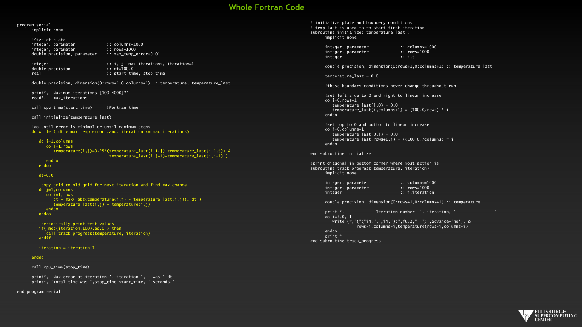#### **Whole Fortran Code**

#### program serial implicit none

!Size of plate integer, parameter :: columns=1000<br>integer.parameter :: rows=1000 integer, parameter double precision, parameter :: max temp error=0.01

double precision<br>real

integer  $:: i, j, max\_iterations, iteration=1$ <br>double precision  $:: dt=100.0$ :: start\_time, stop\_time

double precision, dimension(0:rows+1,0:columns+1) :: temperature, temperature\_last

print\*, 'Maximum iterations [100-4000]?' read\*, max\_iterations

call cpu time(start time) | !Fortran timer

call initialize(temperature\_last)

!do until error is minimal or until maximum steps do while (  $dt > max$  temp error .and. iteration  $\leq$  max iterations)

#### do j=1,columns

 $do$   $i=1$ , rows temperature(i,j)=0.25\*(temperature last(i+1,j)+temperature last(i-1,j)+ & temperature\_last(i,j+1)+temperature\_last(i,j-1) )

```
enddo
enddo
```
 $dt=0.0$ 

!copy grid to old grid for next iteration and find max change do j=1,columns  $do$   $i=1$ , rows  $dt = max(abc)$  abs(temperature(i,j) - temperature last(i,j)), dt )  $temperature_{{\text{last}}}(i,j) = temperature(i,j)$ enddo enddo

```
!periodically print test values
if( mod(iteration,100).eq.0 ) then
  call track_progress(temperature, iteration)
endif
```
#### iteration = iteration+1

#### enddo

call cpu\_time(stop\_time)

print\*, 'Max error at iteration ', iteration-1, ' was ',dt print\*, 'Total time was ', stop time-start time, ' seconds.'

end program serial

! initialize plate and boundery conditions ! temp\_last is used to to start first iteration subroutine initialize( temperature last ) implicit none

> integer, parameter :: columns=1000<br>integer. parameter :: rows=1000 integer, parameter :: rows<br>integer :: i.i integer

double precision, dimension(0:rows+1,0:columns+1) :: temperature\_last

temperature last =  $0.0$ 

!these boundary conditions never change throughout run

!set left side to 0 and right to linear increase do  $i=0$ .rows $+1$ temperature  $last(i,0) = 0.0$ temperature last(i,columns+1) =  $(100.0/rows)$  \* i enddo

!set top to 0 and bottom to linear increase do j=0,columns+1  $t$ emperature\_last $(0, j) = 0.0$ temperature\_last(rows+1,j) =  $((100.0)/\text{columns})$  \* j enddo

end subroutine initialize

!print diagonal in bottom corner where most action is subroutine track\_progress(temperature, iteration) implicit none

> integer, parameter :: columns=1000<br>integer, parameter :: rows=1000 integer, parameter<br>integer

integer :: i,iteration

double precision, dimension(0:rows+1,0:columns+1) :: temperature

print  $*$ , '---------- Iteration number: ', iteration, ' ---------------' do  $i=5.0,-1$ write (\*,'("("i4,",",i4,"):",f6.2," ")',advance='no'), & rows-i,columns-i,temperature(rows-i,columns-i) enddo print \* end subroutine track\_progress

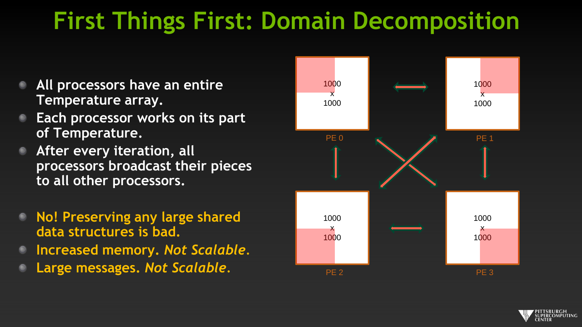### **First Things First: Domain Decomposition**

- **All processors have an entire Temperature array.**
- **Each processor works on its part of Temperature.**
- **After every iteration, all processors broadcast their pieces to all other processors.**
- **No! Preserving any large shared data structures is bad.**
- **Increased memory.** *Not Scalable.*
- **Large messages.** *Not Scalable.*



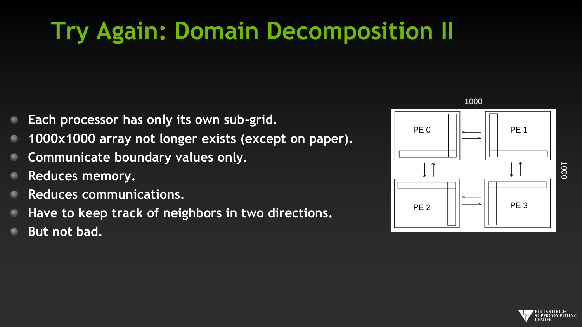## **Try Again: Domain Decomposition II**

- **Each processor has only its own sub-grid.**
- **1000x1000 array not longer exists (except on paper).**
- **Communicate boundary values only.**
- **Reduces memory.**
- **Reduces communications.**
- **Have to keep track of neighbors in two directions.**
- **But not bad.**



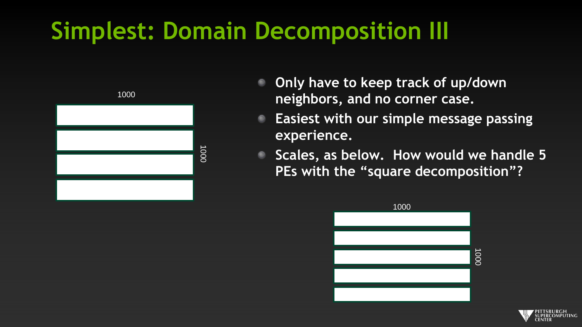### **Simplest: Domain Decomposition III**



- **Only have to keep track of up/down neighbors, and no corner case.**
- **Easiest with our simple message passing**   $\bullet$ **experience.**
- **Scales, as below. How would we handle 5 PEs with the "square decomposition"?**



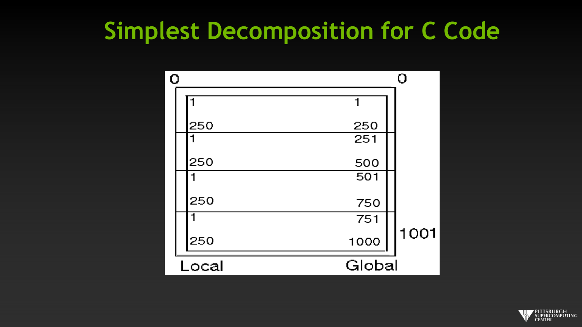#### **Simplest Decomposition for C Code**

| Ω     |     |        | O    |
|-------|-----|--------|------|
|       |     |        |      |
|       | 250 | 250    |      |
|       |     | 251    |      |
|       | 250 | 500    |      |
|       |     | 501    |      |
|       | 250 | 750    |      |
|       |     | 751    |      |
|       | 250 | 1000   | 1001 |
| Local |     | Global |      |

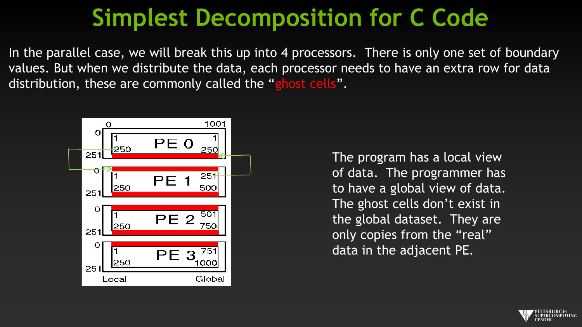### **Simplest Decomposition for C Code**

In the parallel case, we will break this up into 4 processors. There is only one set of boundary values. But when we distribute the data, each processor needs to have an extra row for data distribution, these are commonly called the "ghost cells".



The program has a local view of data. The programmer has to have a global view of data. The ghost cells don't exist in the global dataset. They are only copies from the "real" data in the adjacent PE.

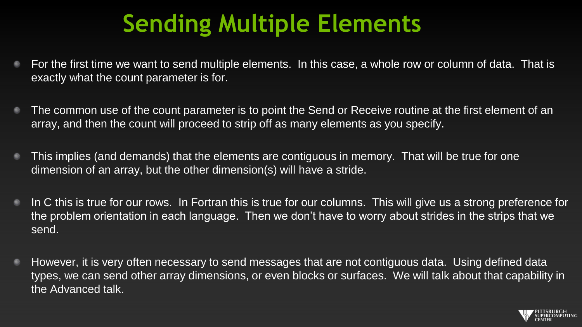### **Sending Multiple Elements**

- For the first time we want to send multiple elements. In this case, a whole row or column of data. That is  $\bullet$ exactly what the count parameter is for.
- The common use of the count parameter is to point the Send or Receive routine at the first element of an array, and then the count will proceed to strip off as many elements as you specify.
- This implies (and demands) that the elements are contiguous in memory. That will be true for one  $\bullet$ dimension of an array, but the other dimension(s) will have a stride.
- In C this is true for our rows. In Fortran this is true for our columns. This will give us a strong preference for  $\bullet$ the problem orientation in each language. Then we don't have to worry about strides in the strips that we send.
- However, it is very often necessary to send messages that are not contiguous data. Using defined data  $\bullet$ types, we can send other array dimensions, or even blocks or surfaces. We will talk about that capability in the Advanced talk.

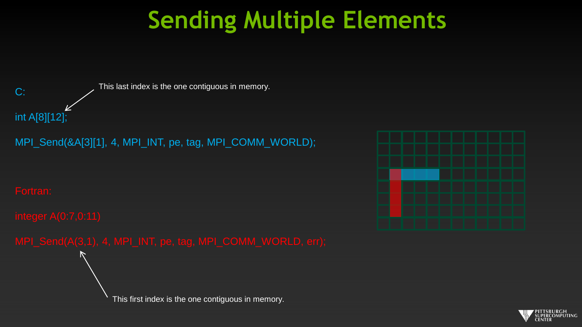### **Sending Multiple Elements**



MPI\_Send(&A[3][1], 4, MPI\_INT, pe, tag, MPI\_COMM\_WORLD);

This first index is the one contiguous in memory.



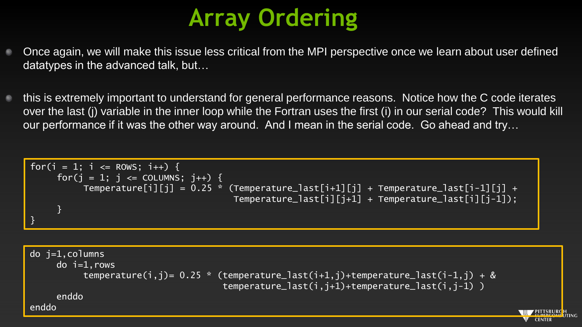## **Array Ordering**

- Once again, we will make this issue less critical from the MPI perspective once we learn about user defined datatypes in the advanced talk, but…
- this is extremely important to understand for general performance reasons. Notice how the C code iterates over the last (j) variable in the inner loop while the Fortran uses the first (i) in our serial code? This would kill our performance if it was the other way around. And I mean in the serial code. Go ahead and try…

$$
\begin{aligned}\nfor(i = 1; i <= \text{Rows}; i++) {\n for(j = 1; j <= \text{COLUMNS}; j++) {\n Temperature[i][j] = 0.25 * (Temperature_losst[i+1][j] + Temperature_losst[i][j-1]);\n }\n}\n\end{aligned}
$$

do j=1,columns  $do$   $i=1$ , rows temperature(i,j)=  $0.25$  \* (temperature\_last(i+1,j)+temperature\_last(i-1,j) + & temperature\_last(i,j+1)+temperature\_last(i,j-1) ) enddo enddo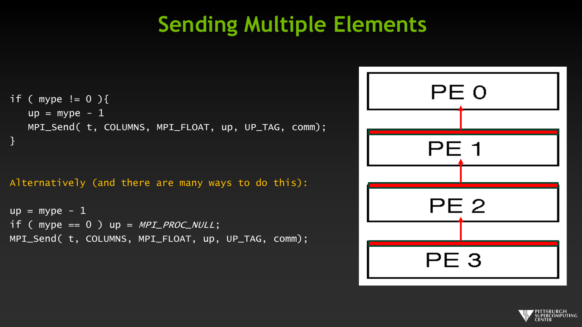#### **Sending Multiple Elements**

```
if ( mype != 0 ) {
   up = mype - 1MPI_Send( t, COLUMNS, MPI_FLOAT, up, UP_TAG, comm); 
}
```
#### Alternatively (and there are many ways to do this):

```
up = mype - 1if (mype == 0) up = MPI_PROC_NULL;MPI_Send( t, COLUMNS, MPI_FLOAT, up, UP_TAG, comm);
```

| PE <sub>0</sub> |  |
|-----------------|--|
| <b>PE 1</b>     |  |
| PE <sub>2</sub> |  |
| PE <sub>3</sub> |  |

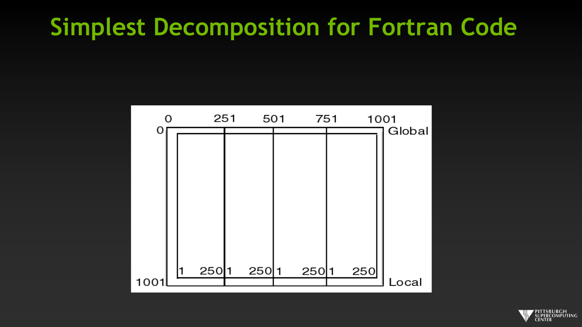#### **Simplest Decomposition for Fortran Code**



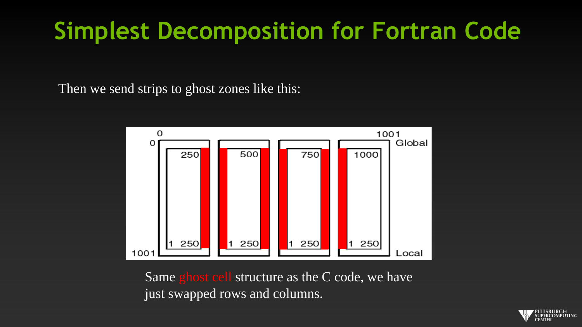### **Simplest Decomposition for Fortran Code**

Then we send strips to ghost zones like this:



Same ghost cell structure as the C code, we have just swapped rows and columns.

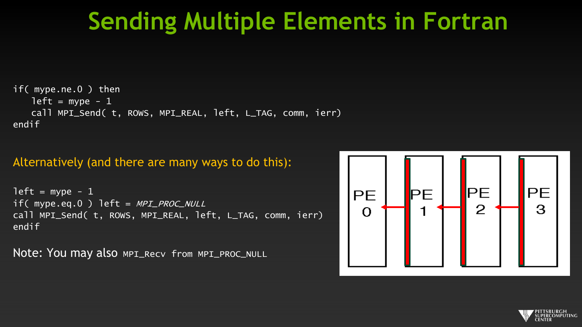#### **Sending Multiple Elements in Fortran**

```
if( mype.ne.0 ) then 
   left = mype -1call MPI_Send( t, ROWS, MPI_REAL, left, L_TAG, comm, ierr) 
endif
```
#### Alternatively (and there are many ways to do this):

```
left = mype - 1
if( mype.eq.0 ) left = MPI<sub>PROC</sub> NULL
call MPI_Send( t, ROWS, MPI_REAL, left, L_TAG, comm, ierr) 
endif
```
Note: You may also MPI\_Recv from MPI\_PROC\_NULL



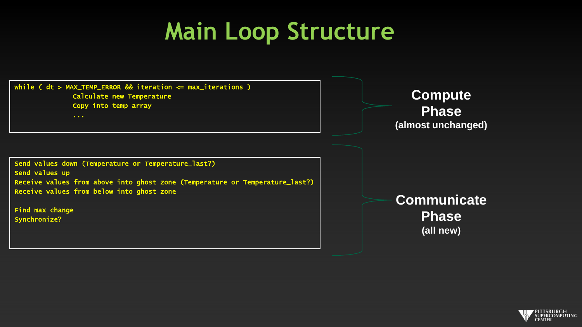### **Main Loop Structure**



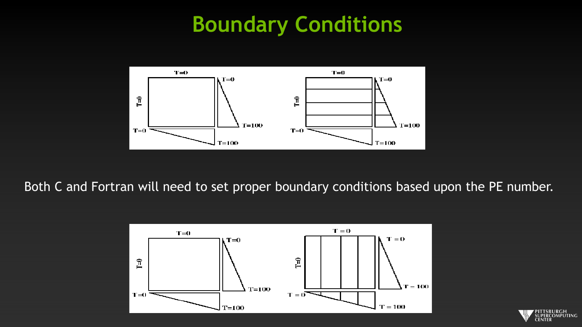#### **Boundary Conditions**



Both C and Fortran will need to set proper boundary conditions based upon the PE number.



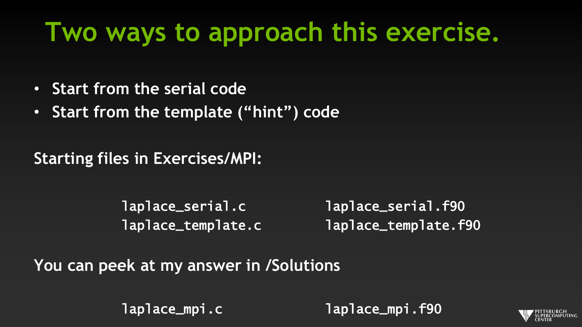# **Two ways to approach this exercise.**

- **Start from the serial code**
- **Start from the template ("hint") code**

**Starting files in Exercises/MPI:**

laplace\_serial.c laplace\_serial.f90 laplace\_template.c laplace\_template.f90

**You can peek at my answer in /Solutions**

laplace\_mpi.c laplace\_mpi.f90

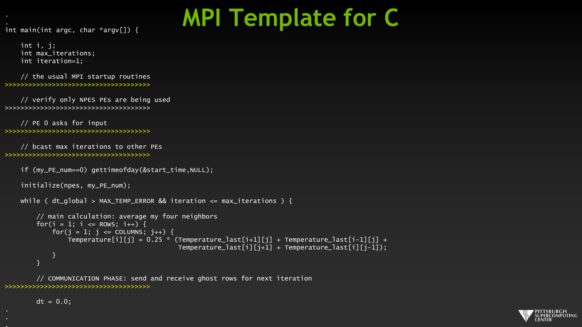### **MPI Template for C**

int main(int argc, char \*argv[]) {

int i, j; int max\_iterations; int iteration=1;

// the usual MPI startup routines >>>>>>>>>>>>>>>>>>>>>>>>>>>>>>>>>>>>>

// verify only NPES PEs are being used >>>>>>>>>>>>>>>>>>>>>>>>>>>>>>>>>>>>>

// PE 0 asks for input >>>>>>>>>>>>>>>>>>>>>>>>>>>>>>>>>>>>>

// bcast max iterations to other PEs >>>>>>>>>>>>>>>>>>>>>>>>>>>>>>>>>>>>>

if (my\_PE\_num==0) gettimeofday(&start\_time,NULL);

initialize(npes, my\_PE\_num);

```
while ( dt global > MAX TEMP ERROR && iteration \leq max iterations ) {
```

```
// main calculation: average my four neighbors
for(i = 1; i \le ROWS; i++) {
    for(j = 1; j \leq COLUMNS; j++) {
        Temperature[i][j] = 0.25 * (Temperature_last[i+1][j] + Temperature_last[i-1][i] +
                                     Temperature\_last[i][j+1] + Temperature\_last[i][j-1]);
    }
}
```
// COMMUNICATION PHASE: send and receive ghost rows for next iteration >>>>>>>>>>>>>>>>>>>>>>>>>>>>>>>>>>>>>

 $dt = 0.0$ ;

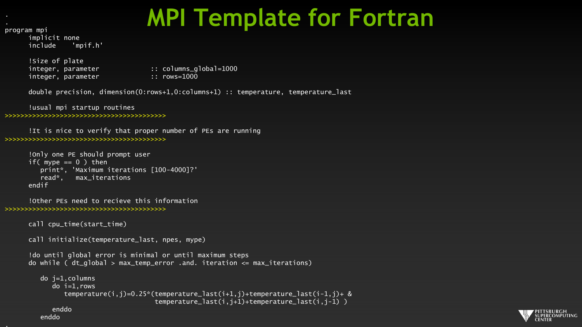### **MPI Template for Fortran**

program mpi

implicit none include 'mpif.h'

!Size of plate integer, parameter :: rows=1000

integer, parameter :: columns\_global=1000

double precision, dimension(0:rows+1,0:columns+1) :: temperature, temperature\_last

!usual mpi startup routines

#### >>>>>>>>>>>>>>>>>>>>>>>>>>>>>>>>>>>>>>>>>

!It is nice to verify that proper number of PEs are running >>>>>>>>>>>>>>>>>>>>>>>>>>>>>>>>>>>>>>>>>

```
!Only one PE should prompt user
if( mype == 0 ) then
   print*, 'Maximum iterations [100-4000]?'
  read*, max_iterations
endif
```

```
!Other PEs need to recieve this information
>>>>>>>>>>>>>>>>>>>>>>>>>>>>>>>>>>>>>>>>>
```

```
call cpu_time(start_time)
```
call initialize(temperature\_last, npes, mype)

```
!do until global error is minimal or until maximum steps
do while (dt_q]obal > max_temp_error .and. iteration \leq max_iterations)
```

```
do j=1,columns
   do i=1,rows
      temperature(i,j)=0.25*(temperature_last(i+1,j)+temperature_last(i-1,j)+ &
                             temperature_last(i,j+1)+temperature_last(i,j-1) )
```
enddo enddo

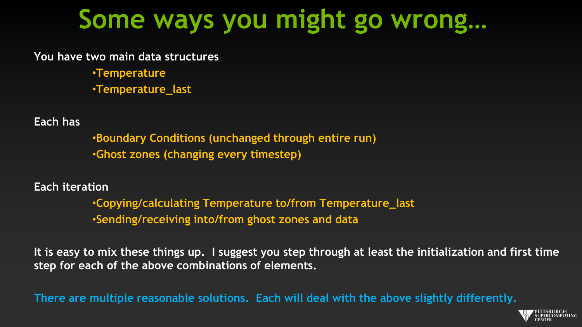## **Some ways you might go wrong…**

**You have two main data structures**

•**Temperature** •**Temperature\_last**

**Each has**

•**Boundary Conditions (unchanged through entire run)** •**Ghost zones (changing every timestep)**

**Each iteration**

•**Copying/calculating Temperature to/from Temperature\_last** •**Sending/receiving into/from ghost zones and data**

**It is easy to mix these things up. I suggest you step through at least the initialization and first time step for each of the above combinations of elements.**

**There are multiple reasonable solutions. Each will deal with the above slightly differently.**

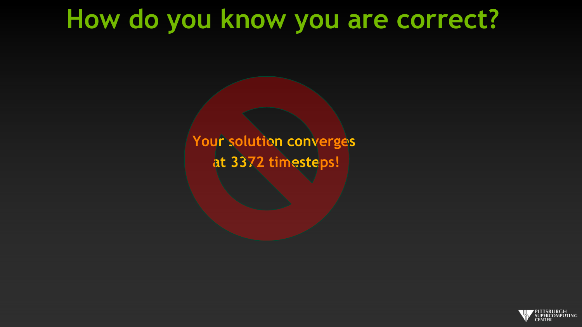### **How do you know you are correct?**

**Your solution converges at 3372 timesteps!**

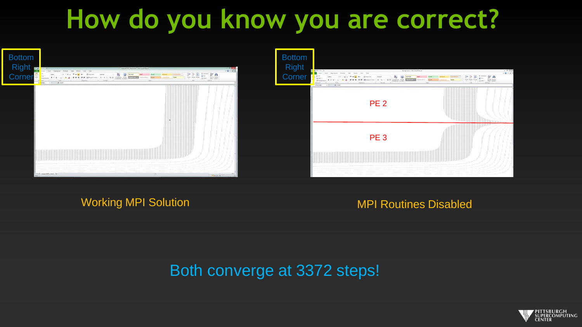# **How do you know you are correct?**





#### Working MPI Solution MPI Routines Disabled

#### Both converge at 3372 steps!

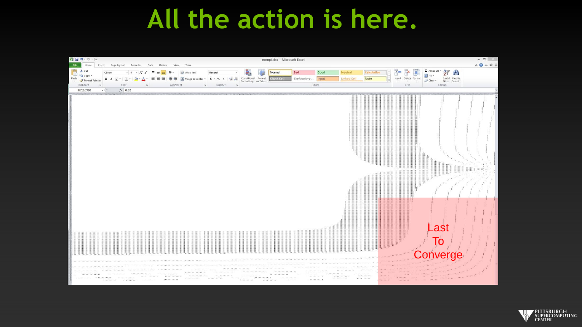### **All the action is here.**



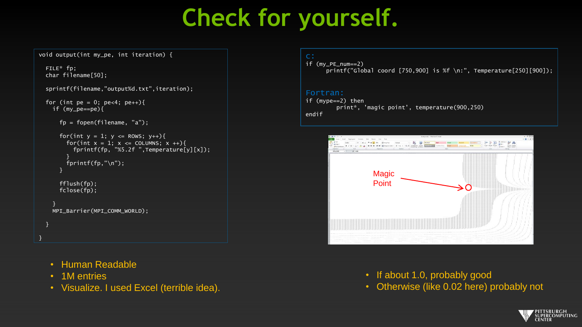### **Check for yourself.**

void output(int my\_pe, int iteration) {

FILE\* fp; char filename[50];

```
sprintf(filename,"output%d.txt",iteration);
```
for (int pe = 0; pe<4; pe++){ if (my\_pe==pe){

```
fp = fopen(filename, "a");
```

```
for(int y = 1; y \le ROWS; y++){
  for(int x = 1; x \le 3 COLUMNS; x +1}
    fprintf(fp, "%5.2f ",Temperature[y][x]);
  }
  fprintf(fp,"\n");
}
fflush(fp);
fclose(fp);
```
} MPI\_Barrier(MPI\_COMM\_WORLD);

- Human Readable
- 1M entries

} }

• Visualize. I used Excel (terrible idea).

if (my\_PE\_num==2) printf("Global coord [750,900] is %f \n:", Temperature[250][900]);

#### Fortran:

```
if (mype==2) then
         print*, 'magic point', temperature(900,250)
endif
```


- If about 1.0, probably good
- Otherwise (like 0.02 here) probably not

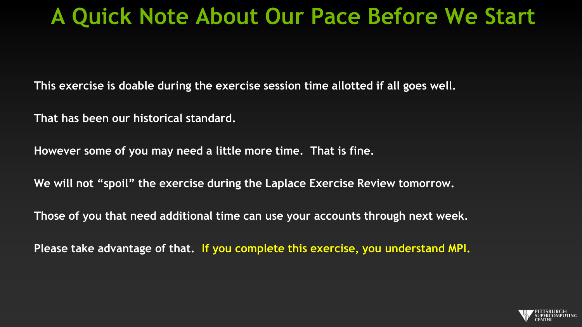#### **A Quick Note About Our Pace Before We Start**

**This exercise is doable during the exercise session time allotted if all goes well.**

**That has been our historical standard.**

**However some of you may need a little more time. That is fine.**

**We will not "spoil" the exercise during the Laplace Exercise Review tomorrow.**

**Those of you that need additional time can use your accounts through next week.**

**Please take advantage of that. If you complete this exercise, you understand MPI.**